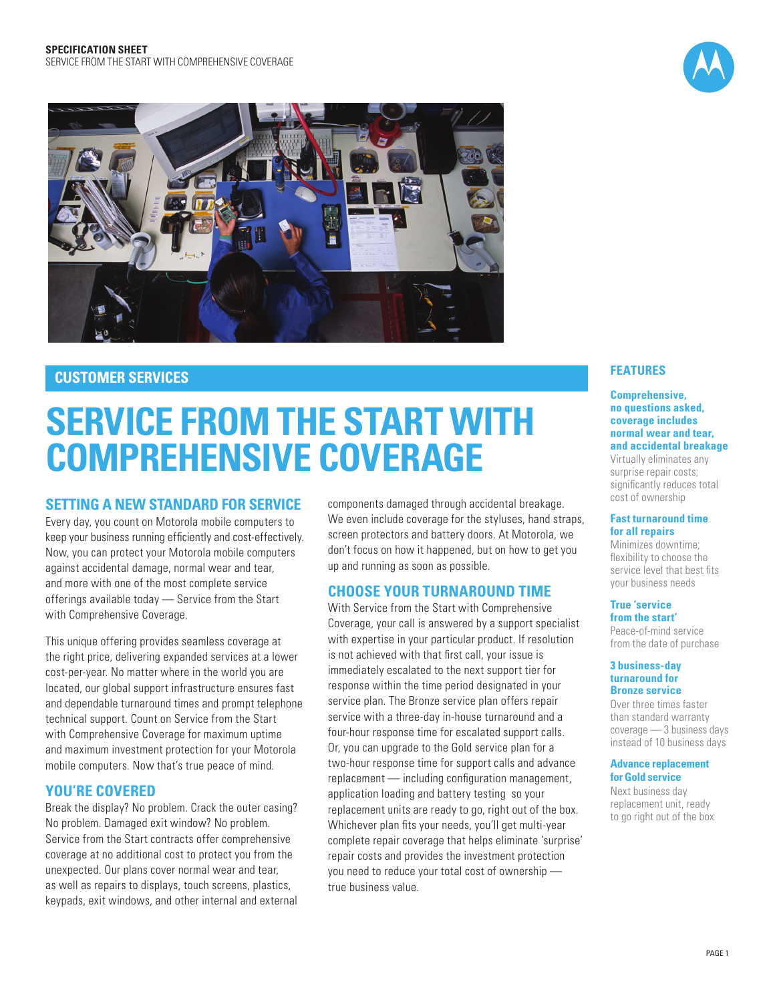



# **Customer services**

# **Service from the Start with Comprehensive Coverage**

## **Setting a new standard for service**

Every day, you count on Motorola mobile computers to keep your business running efficiently and cost-effectively. Now, you can protect your Motorola mobile computers against accidental damage, normal wear and tear, and more with one of the most complete service offerings available today — Service from the Start with Comprehensive Coverage.

This unique offering provides seamless coverage at the right price, delivering expanded services at a lower cost-per-year. No matter where in the world you are located, our global support infrastructure ensures fast and dependable turnaround times and prompt telephone technical support. Count on Service from the Start with Comprehensive Coverage for maximum uptime and maximum investment protection for your Motorola mobile computers. Now that's true peace of mind.

## **You're covered**

Break the display? No problem. Crack the outer casing? No problem. Damaged exit window? No problem. Service from the Start contracts offer comprehensive coverage at no additional cost to protect you from the unexpected. Our plans cover normal wear and tear, as well as repairs to displays, touch screens, plastics, keypads, exit windows, and other internal and external components damaged through accidental breakage. We even include coverage for the styluses, hand straps, screen protectors and battery doors. At Motorola, we don't focus on how it happened, but on how to get you up and running as soon as possible.

# **Choose your Turnaround Time**

With Service from the Start with Comprehensive Coverage, your call is answered by a support specialist with expertise in your particular product. If resolution is not achieved with that first call, your issue is immediately escalated to the next support tier for response within the time period designated in your service plan. The Bronze service plan offers repair service with a three-day in-house turnaround and a four-hour response time for escalated support calls. Or, you can upgrade to the Gold service plan for a two-hour response time for support calls and advance replacement — including configuration management, application loading and battery testing so your replacement units are ready to go, right out of the box. Whichever plan fits your needs, you'll get multi-year complete repair coverage that helps eliminate 'surprise' repair costs and provides the investment protection you need to reduce your total cost of ownership true business value.

## **Features**

### **Comprehensive, no questions asked, coverage includes normal wear and tear, and accidental breakage**

Virtually eliminates any surprise repair costs; significantly reduces total cost of ownership

#### **Fast turnaround time for all repairs**

Minimizes downtime; flexibility to choose the service level that best fits your business needs

#### **True 'service from the start'**

Peace-of-mind service from the date of purchase

#### **3 business-day turnaround for Bronze service**

Over three times faster than standard warranty coverage — 3 business days instead of 10 business days

#### **Advance replacement for Gold service**

Next business day replacement unit, ready to go right out of the box